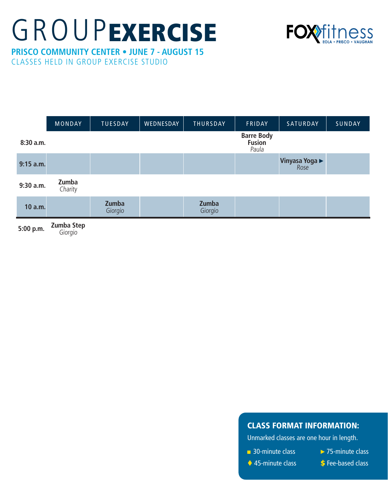## **GROUPEXERCISE**



**PRISCO COMMUNITY CENTER • JUNE 7 - AUGUST 15** CLASSES HELD IN GROUP EXERCISE STUDIO

|                    | <b>MONDAY</b>    | <b>TUESDAY</b>   | WEDNESDAY | <b>THURSDAY</b>  | FRIDAY                                      | SATURDAY                      | SUNDAY |
|--------------------|------------------|------------------|-----------|------------------|---------------------------------------------|-------------------------------|--------|
| 8:30 a.m.          |                  |                  |           |                  | <b>Barre Body</b><br><b>Fusion</b><br>Paula |                               |        |
| $9:15$ a.m.        |                  |                  |           |                  |                                             | <b>Vinyasa Yoga ▶</b><br>Rose |        |
| 9:30 a.m.          | Zumba<br>Charity |                  |           |                  |                                             |                               |        |
| 10 a.m.            |                  | Zumba<br>Giorgio |           | Zumba<br>Giorgio |                                             |                               |        |
| $5:00 \text{ n m}$ | Zumba Step       |                  |           |                  |                                             |                               |        |

**5:00 p.m. Zumba Step** Giorgio

## CLASS FORMAT INFORMATION:

Unmarked classes are one hour in length.

- 30-minute class
- ►75-minute class
- ◆ 45-minute class
- **\$** Fee-based class